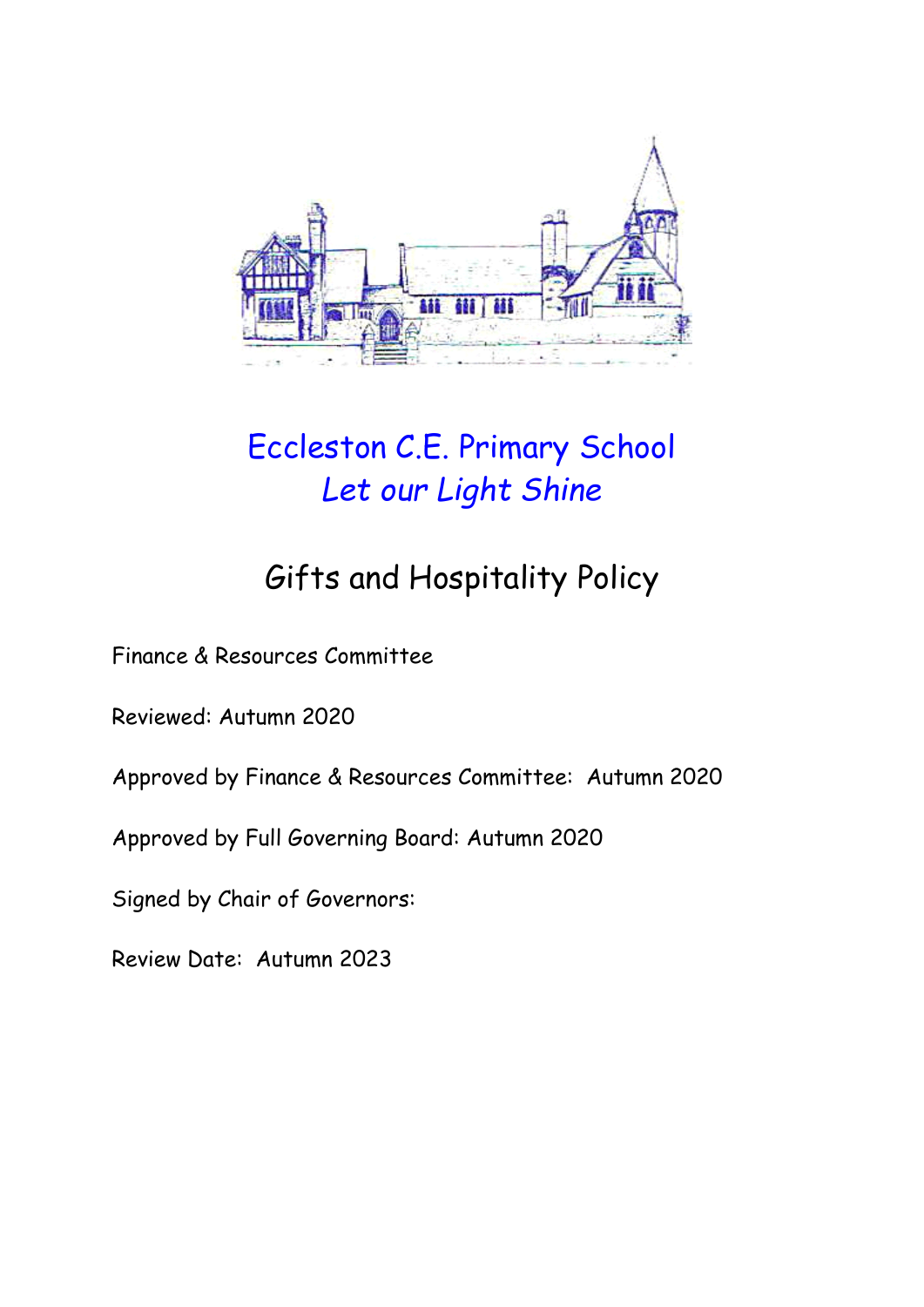

# Eccleston C.E. Primary School *Let our Light Shine*

# Gifts and Hospitality Policy

Finance & Resources Committee

Reviewed: Autumn 2020

Approved by Finance & Resources Committee: Autumn 2020

Approved by Full Governing Board: Autumn 2020

Signed by Chair of Governors:

Review Date: Autumn 2023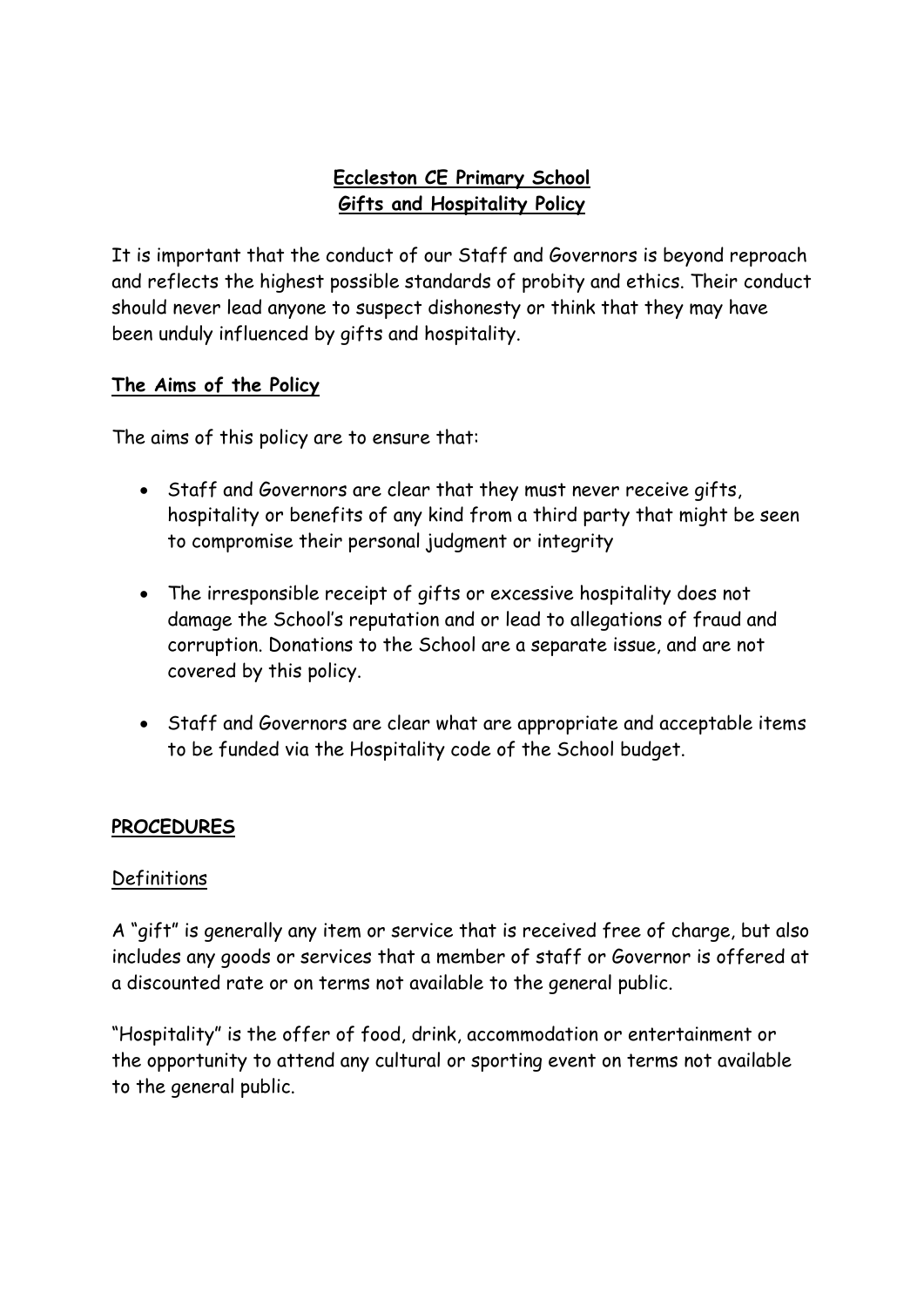# **Eccleston CE Primary School Gifts and Hospitality Policy**

It is important that the conduct of our Staff and Governors is beyond reproach and reflects the highest possible standards of probity and ethics. Their conduct should never lead anyone to suspect dishonesty or think that they may have been unduly influenced by gifts and hospitality.

### **The Aims of the Policy**

The aims of this policy are to ensure that:

- Staff and Governors are clear that they must never receive gifts, hospitality or benefits of any kind from a third party that might be seen to compromise their personal judgment or integrity
- The irresponsible receipt of gifts or excessive hospitality does not damage the School's reputation and or lead to allegations of fraud and corruption. Donations to the School are a separate issue, and are not covered by this policy.
- Staff and Governors are clear what are appropriate and acceptable items to be funded via the Hospitality code of the School budget.

## **PROCEDURES**

#### **Definitions**

A "gift" is generally any item or service that is received free of charge, but also includes any goods or services that a member of staff or Governor is offered at a discounted rate or on terms not available to the general public.

"Hospitality" is the offer of food, drink, accommodation or entertainment or the opportunity to attend any cultural or sporting event on terms not available to the general public.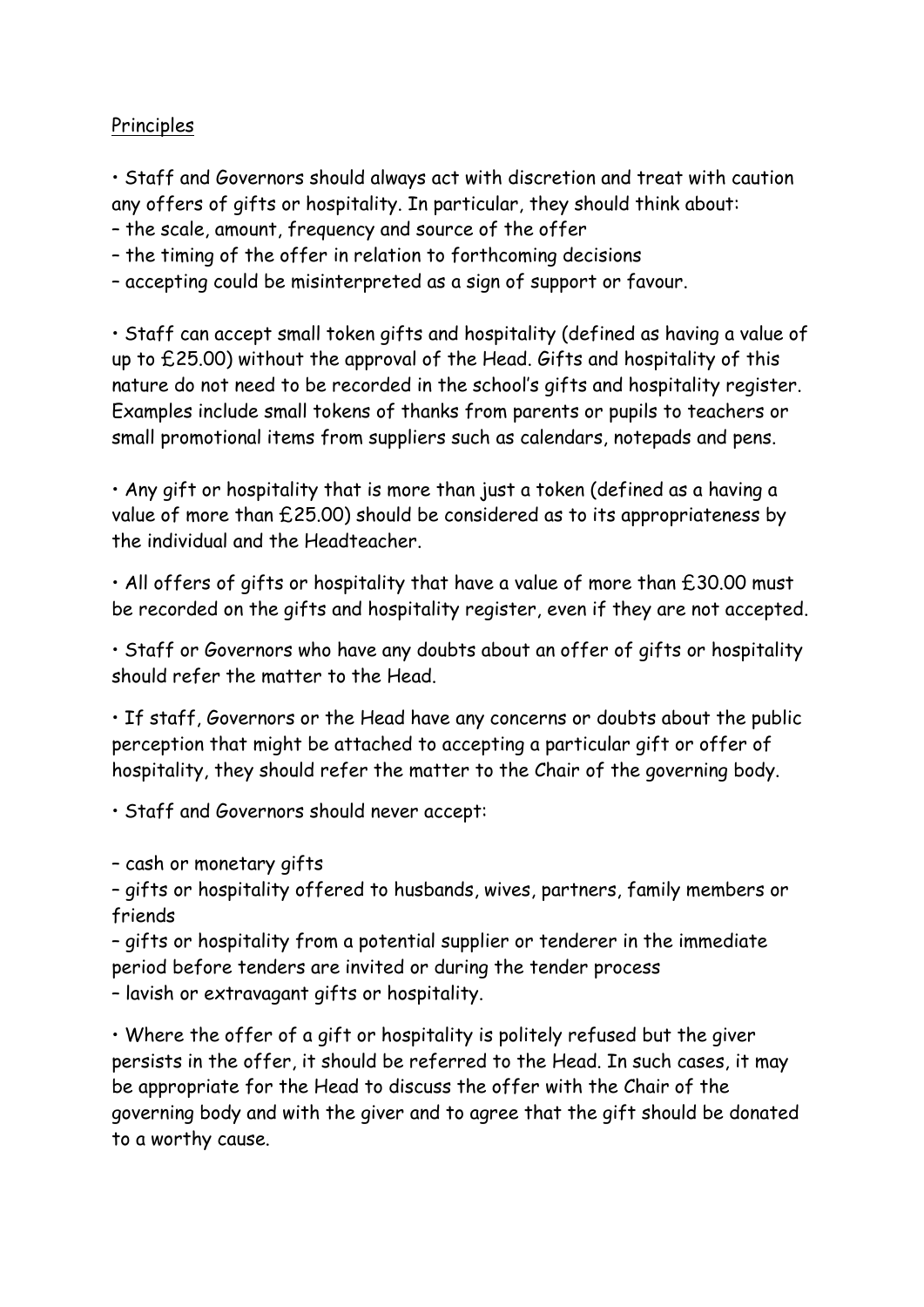### Principles

• Staff and Governors should always act with discretion and treat with caution any offers of gifts or hospitality. In particular, they should think about:

- the scale, amount, frequency and source of the offer
- the timing of the offer in relation to forthcoming decisions
- accepting could be misinterpreted as a sign of support or favour.

• Staff can accept small token gifts and hospitality (defined as having a value of up to £25.00) without the approval of the Head. Gifts and hospitality of this nature do not need to be recorded in the school's gifts and hospitality register. Examples include small tokens of thanks from parents or pupils to teachers or small promotional items from suppliers such as calendars, notepads and pens.

• Any gift or hospitality that is more than just a token (defined as a having a value of more than £25.00) should be considered as to its appropriateness by the individual and the Headteacher.

• All offers of gifts or hospitality that have a value of more than £30.00 must be recorded on the gifts and hospitality register, even if they are not accepted.

• Staff or Governors who have any doubts about an offer of gifts or hospitality should refer the matter to the Head.

• If staff, Governors or the Head have any concerns or doubts about the public perception that might be attached to accepting a particular gift or offer of hospitality, they should refer the matter to the Chair of the governing body.

• Staff and Governors should never accept:

– cash or monetary gifts

– gifts or hospitality offered to husbands, wives, partners, family members or friends

– gifts or hospitality from a potential supplier or tenderer in the immediate period before tenders are invited or during the tender process – lavish or extravagant gifts or hospitality.

• Where the offer of a gift or hospitality is politely refused but the giver persists in the offer, it should be referred to the Head. In such cases, it may be appropriate for the Head to discuss the offer with the Chair of the governing body and with the giver and to agree that the gift should be donated to a worthy cause.